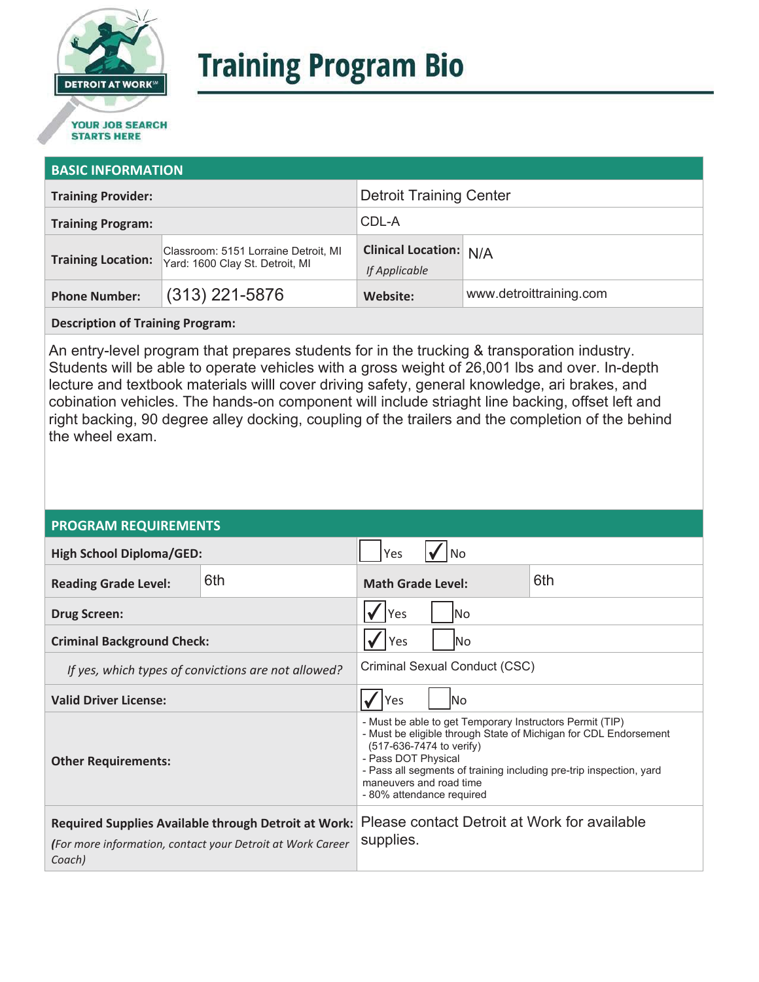

# **Training Program Bio**

## **STARTS HERE**

#### **BASIC INFORMATION**

| <b>Training Provider:</b> |                                                                         | <b>Detroit Training Center</b>                 |                         |
|---------------------------|-------------------------------------------------------------------------|------------------------------------------------|-------------------------|
| <b>Training Program:</b>  |                                                                         | CDL-A                                          |                         |
| <b>Training Location:</b> | Classroom: 5151 Lorraine Detroit, MI<br>Yard: 1600 Clay St. Detroit, MI | <b>Clinical Location: N/A</b><br>If Applicable |                         |
| <b>Phone Number:</b>      | $(313)$ 221-5876                                                        | Website:                                       | www.detroittraining.com |

**Description of Training Program:** 

An entry-level program that prepares students for in the trucking & transporation industry. Students will be able to operate vehicles with a gross weight of 26,001 lbs and over. In-depth lecture and textbook materials willl cover driving safety, general knowledge, ari brakes, and cobination vehicles. The hands-on component will include striaght line backing, offset left and right backing, 90 degree alley docking, coupling of the trailers and the completion of the behind the wheel exam.

#### **PROGRAM REQUIREMENTS**

| <b>High School Diploma/GED:</b>                                                                                                     |     | Yes                                                                                                                                                                                                                                                                                                            |  |  |
|-------------------------------------------------------------------------------------------------------------------------------------|-----|----------------------------------------------------------------------------------------------------------------------------------------------------------------------------------------------------------------------------------------------------------------------------------------------------------------|--|--|
| <b>Reading Grade Level:</b>                                                                                                         | 6th | 6th<br><b>Math Grade Level:</b>                                                                                                                                                                                                                                                                                |  |  |
| <b>Drug Screen:</b>                                                                                                                 |     | Yes<br>lNo                                                                                                                                                                                                                                                                                                     |  |  |
| <b>Criminal Background Check:</b>                                                                                                   |     | Yes<br>lΝo                                                                                                                                                                                                                                                                                                     |  |  |
| If yes, which types of convictions are not allowed?                                                                                 |     | Criminal Sexual Conduct (CSC)                                                                                                                                                                                                                                                                                  |  |  |
| <b>Valid Driver License:</b>                                                                                                        |     | Yes<br>lNo                                                                                                                                                                                                                                                                                                     |  |  |
| <b>Other Requirements:</b>                                                                                                          |     | - Must be able to get Temporary Instructors Permit (TIP)<br>- Must be eligible through State of Michigan for CDL Endorsement<br>(517-636-7474 to verify)<br>- Pass DOT Physical<br>- Pass all segments of training including pre-trip inspection, yard<br>maneuvers and road time<br>- 80% attendance required |  |  |
| <b>Required Supplies Available through Detroit at Work:</b><br>(For more information, contact your Detroit at Work Career<br>Coach) |     | Please contact Detroit at Work for available<br>supplies.                                                                                                                                                                                                                                                      |  |  |